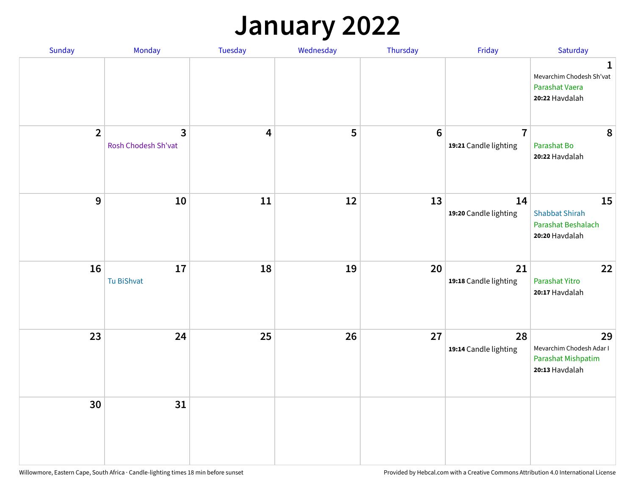## **January 2022**

| Sunday         | Monday                              | Tuesday                 | Wednesday | Thursday        | Friday                                  | Saturday                                                                    |
|----------------|-------------------------------------|-------------------------|-----------|-----------------|-----------------------------------------|-----------------------------------------------------------------------------|
|                |                                     |                         |           |                 |                                         | $\mathbf 1$<br>Mevarchim Chodesh Sh'vat<br>Parashat Vaera<br>20:22 Havdalah |
| $\overline{2}$ | $\mathbf{3}$<br>Rosh Chodesh Sh'vat | $\overline{\mathbf{4}}$ | 5         | $6\phantom{1}6$ | $\overline{7}$<br>19:21 Candle lighting | 8<br>Parashat Bo<br>20:22 Havdalah                                          |
| 9              | 10                                  | 11                      | 12        | 13              | 14<br>19:20 Candle lighting             | 15<br><b>Shabbat Shirah</b><br>Parashat Beshalach<br>20:20 Havdalah         |
| 16             | $17\,$<br>Tu BiShvat                | 18                      | 19        | 20              | 21<br>19:18 Candle lighting             | 22<br>Parashat Yitro<br>20:17 Havdalah                                      |
| 23             | 24                                  | 25                      | 26        | 27              | 28<br>19:14 Candle lighting             | 29<br>Mevarchim Chodesh Adar I<br>Parashat Mishpatim<br>20:13 Havdalah      |
| 30             | 31                                  |                         |           |                 |                                         |                                                                             |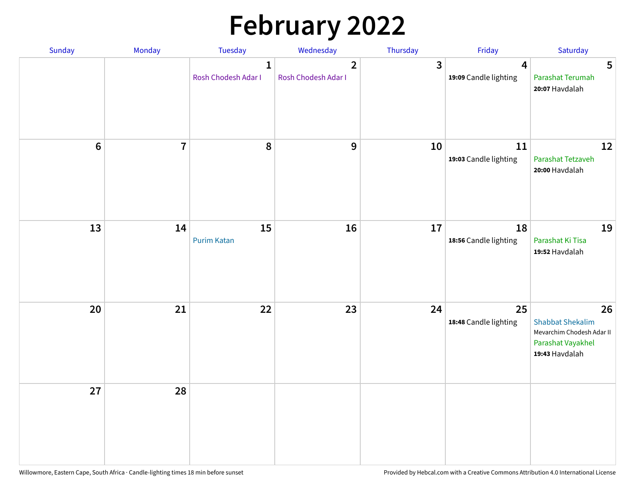# **February 2022**

| Sunday | Monday                  | <b>Tuesday</b>                      | Wednesday                             | Thursday | Friday                                           | Saturday                                                                                          |
|--------|-------------------------|-------------------------------------|---------------------------------------|----------|--------------------------------------------------|---------------------------------------------------------------------------------------------------|
|        |                         | $\mathbf{1}$<br>Rosh Chodesh Adar I | $\overline{2}$<br>Rosh Chodesh Adar I | 3        | $\overline{\mathbf{4}}$<br>19:09 Candle lighting | 5<br>Parashat Terumah<br>20:07 Havdalah                                                           |
| $6\,$  | $\overline{\mathbf{7}}$ | 8                                   | 9                                     | 10       | 11<br>19:03 Candle lighting                      | 12<br>Parashat Tetzaveh<br>20:00 Havdalah                                                         |
| 13     | 14                      | 15<br><b>Purim Katan</b>            | 16                                    | 17       | 18<br>18:56 Candle lighting                      | 19<br>Parashat Ki Tisa<br>19:52 Havdalah                                                          |
| 20     | 21                      | 22                                  | 23                                    | 24       | 25<br>18:48 Candle lighting                      | 26<br><b>Shabbat Shekalim</b><br>Mevarchim Chodesh Adar II<br>Parashat Vayakhel<br>19:43 Havdalah |
| 27     | 28                      |                                     |                                       |          |                                                  |                                                                                                   |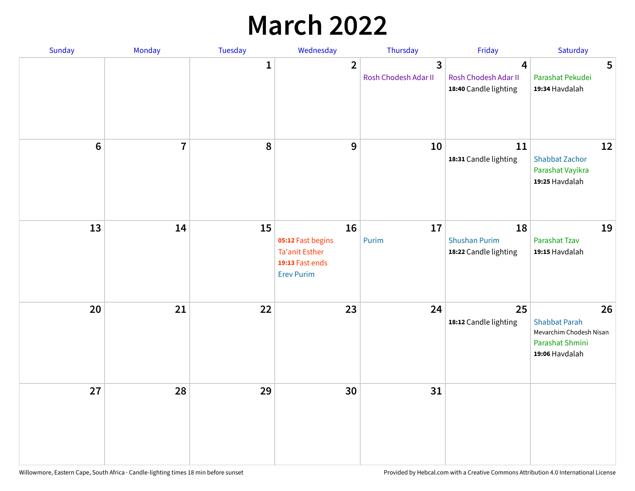## **March 2022**

| Sunday           | Monday         | <b>Tuesday</b> | Wednesday                                                                                | Thursday                  | Friday                                              | Saturday                                                                                   |
|------------------|----------------|----------------|------------------------------------------------------------------------------------------|---------------------------|-----------------------------------------------------|--------------------------------------------------------------------------------------------|
|                  |                | $\mathbf{1}$   | $\overline{2}$                                                                           | 3<br>Rosh Chodesh Adar II | 4<br>Rosh Chodesh Adar II<br>18:40 Candle lighting  | 5<br>Parashat Pekudei<br>19:34 Havdalah                                                    |
| $\boldsymbol{6}$ | $\overline{7}$ | 8              | 9                                                                                        | 10                        | 11<br>18:31 Candle lighting                         | 12<br><b>Shabbat Zachor</b><br>Parashat Vayikra<br>19:25 Havdalah                          |
| 13               | 14             | 15             | 16<br>05:12 Fast begins<br><b>Ta'anit Esther</b><br>19:13 Fast ends<br><b>Erev Purim</b> | 17<br>Purim               | 18<br><b>Shushan Purim</b><br>18:22 Candle lighting | 19<br>Parashat Tzav<br>19:15 Havdalah                                                      |
| 20               | 21             | 22             | 23                                                                                       | 24                        | 25<br>18:12 Candle lighting                         | 26<br><b>Shabbat Parah</b><br>Mevarchim Chodesh Nisan<br>Parashat Shmini<br>19:06 Havdalah |
| 27               | 28             | 29             | 30                                                                                       | 31                        |                                                     |                                                                                            |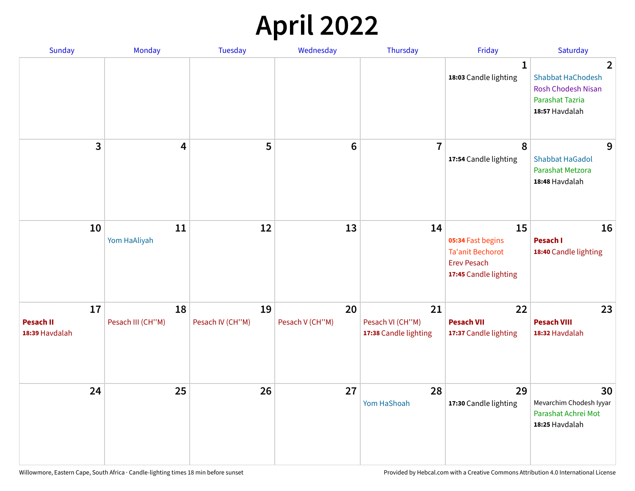## **April 2022**

| Sunday                                   | Monday                  | Tuesday                | Wednesday             | Thursday                                        | Friday                                                                                            | Saturday                                                                                                            |
|------------------------------------------|-------------------------|------------------------|-----------------------|-------------------------------------------------|---------------------------------------------------------------------------------------------------|---------------------------------------------------------------------------------------------------------------------|
|                                          |                         |                        |                       |                                                 | 1<br>18:03 Candle lighting                                                                        | $\overline{2}$<br><b>Shabbat HaChodesh</b><br><b>Rosh Chodesh Nisan</b><br><b>Parashat Tazria</b><br>18:57 Havdalah |
| 3                                        | 4                       | 5                      | $6\phantom{1}$        | $\overline{7}$                                  | 8<br>17:54 Candle lighting                                                                        | 9<br><b>Shabbat HaGadol</b><br>Parashat Metzora<br>18:48 Havdalah                                                   |
| 10                                       | 11<br>Yom HaAliyah      | 12                     | 13                    | 14                                              | 15<br>05:34 Fast begins<br><b>Ta'anit Bechorot</b><br><b>Erev Pesach</b><br>17:45 Candle lighting | 16<br>Pesach I<br>18:40 Candle lighting                                                                             |
| 17<br><b>Pesach II</b><br>18:39 Havdalah | 18<br>Pesach III (CH"M) | 19<br>Pesach IV (CH"M) | 20<br>Pesach V (CH"M) | 21<br>Pesach VI (CH"M)<br>17:38 Candle lighting | 22<br><b>Pesach VII</b><br>17:37 Candle lighting                                                  | 23<br><b>Pesach VIII</b><br>18:32 Havdalah                                                                          |
| 24                                       | 25                      | 26                     | 27                    | 28<br>Yom HaShoah                               | 29<br>17:30 Candle lighting                                                                       | 30<br>Mevarchim Chodesh Iyyar<br>Parashat Achrei Mot<br>18:25 Havdalah                                              |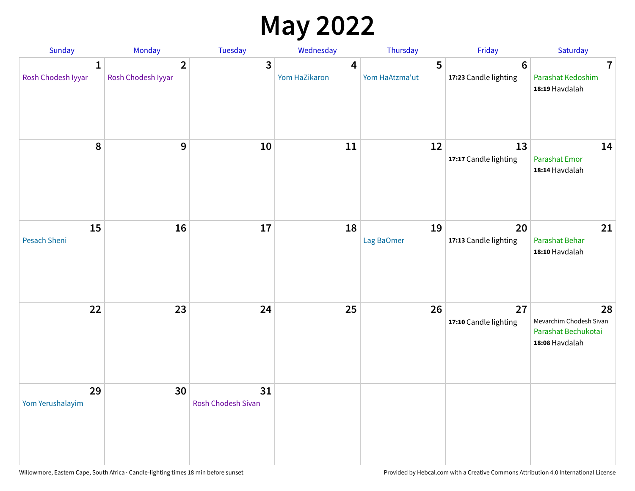## **May 2022**

| Sunday                             | Monday                               | Tuesday                         | Wednesday          | Thursday            | Friday                                   | Saturday                                                               |
|------------------------------------|--------------------------------------|---------------------------------|--------------------|---------------------|------------------------------------------|------------------------------------------------------------------------|
| $\mathbf{1}$<br>Rosh Chodesh Iyyar | $\overline{2}$<br>Rosh Chodesh Iyyar | 3                               | 4<br>Yom HaZikaron | 5<br>Yom HaAtzma'ut | $6\phantom{1}6$<br>17:23 Candle lighting | $\overline{7}$<br>Parashat Kedoshim<br>18:19 Havdalah                  |
| $\pmb{8}$                          | $\mathbf{9}$                         | 10                              | 11                 | 12                  | 13<br>17:17 Candle lighting              | 14<br><b>Parashat Emor</b><br>18:14 Havdalah                           |
| 15<br>Pesach Sheni                 | 16                                   | 17                              | 18                 | 19<br>Lag BaOmer    | 20<br>17:13 Candle lighting              | 21<br>Parashat Behar<br>18:10 Havdalah                                 |
| 22                                 | 23                                   | 24                              | 25                 | 26                  | 27<br>17:10 Candle lighting              | 28<br>Mevarchim Chodesh Sivan<br>Parashat Bechukotai<br>18:08 Havdalah |
| 29<br>Yom Yerushalayim             | 30                                   | 31<br><b>Rosh Chodesh Sivan</b> |                    |                     |                                          |                                                                        |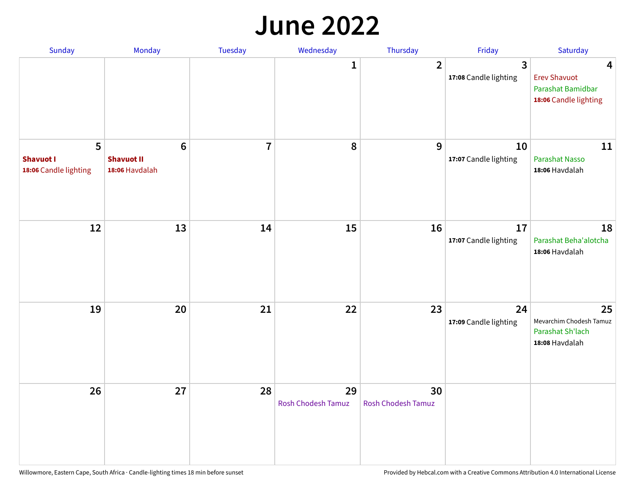#### **June 2022**

| Sunday                                         | Monday                                                | Tuesday        | Wednesday                       | Thursday                        | Friday                      | Saturday                                                               |
|------------------------------------------------|-------------------------------------------------------|----------------|---------------------------------|---------------------------------|-----------------------------|------------------------------------------------------------------------|
|                                                |                                                       |                | 1                               | $\overline{2}$                  | 3<br>17:08 Candle lighting  | 4<br><b>Erev Shavuot</b><br>Parashat Bamidbar<br>18:06 Candle lighting |
| 5<br><b>Shavuot I</b><br>18:06 Candle lighting | $6\phantom{1}$<br><b>Shavuot II</b><br>18:06 Havdalah | $\overline{7}$ | 8                               | 9                               | 10<br>17:07 Candle lighting | 11<br><b>Parashat Nasso</b><br>18:06 Havdalah                          |
| 12                                             | 13                                                    | 14             | 15                              | 16                              | 17<br>17:07 Candle lighting | 18<br>Parashat Beha'alotcha<br>18:06 Havdalah                          |
| 19                                             | 20                                                    | 21             | 22                              | 23                              | 24<br>17:09 Candle lighting | 25<br>Mevarchim Chodesh Tamuz<br>Parashat Sh'lach<br>18:08 Havdalah    |
| 26                                             | 27                                                    | 28             | 29<br><b>Rosh Chodesh Tamuz</b> | 30<br><b>Rosh Chodesh Tamuz</b> |                             |                                                                        |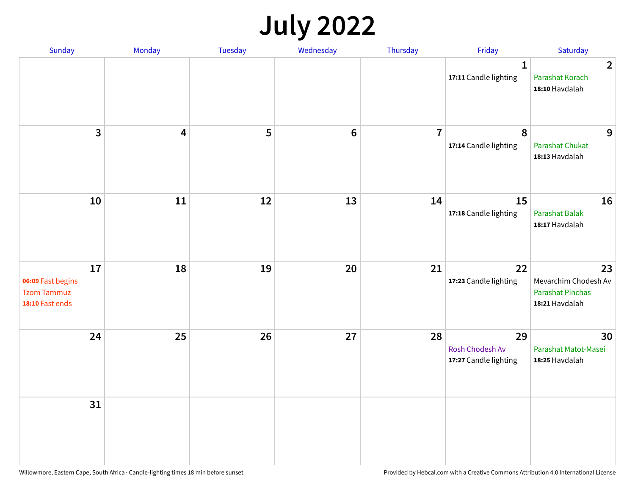## **July 2022**

| Sunday                                                           | Monday                  | Tuesday | Wednesday | Thursday       | Friday                                         | Saturday                                                                |
|------------------------------------------------------------------|-------------------------|---------|-----------|----------------|------------------------------------------------|-------------------------------------------------------------------------|
|                                                                  |                         |         |           |                | $\mathbf{1}$<br>17:11 Candle lighting          | $\overline{2}$<br>Parashat Korach<br>18:10 Havdalah                     |
| $\mathbf{3}$                                                     | $\overline{\mathbf{4}}$ | 5       | $\bf 6$   | $\overline{7}$ | $\pmb{8}$<br>17:14 Candle lighting             | 9<br>Parashat Chukat<br>18:13 Havdalah                                  |
| 10                                                               | 11                      | 12      | 13        | 14             | 15<br>17:18 Candle lighting                    | 16<br><b>Parashat Balak</b><br>18:17 Havdalah                           |
| 17<br>06:09 Fast begins<br><b>Tzom Tammuz</b><br>18:10 Fast ends | 18                      | 19      | 20        | 21             | 22<br>17:23 Candle lighting                    | 23<br>Mevarchim Chodesh Av<br><b>Parashat Pinchas</b><br>18:21 Havdalah |
| 24                                                               | 25                      | 26      | 27        | 28             | 29<br>Rosh Chodesh Av<br>17:27 Candle lighting | 30<br>Parashat Matot-Masei<br>18:25 Havdalah                            |
| 31                                                               |                         |         |           |                |                                                |                                                                         |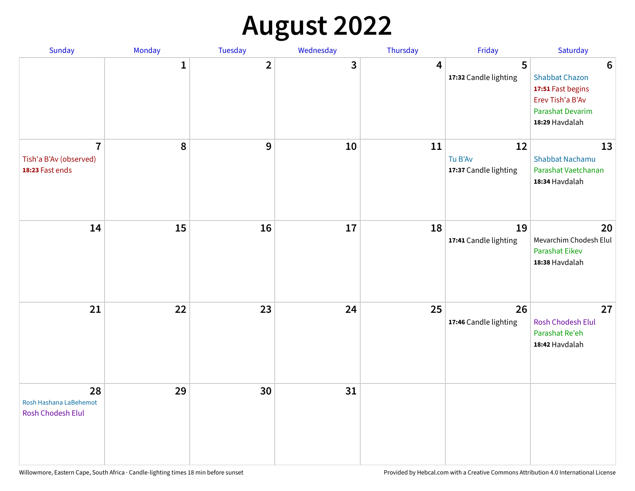## **August 2022**

| Sunday                                                      | Monday       | Tuesday                 | Wednesday | Thursday | Friday                                 | Saturday                                                                                                                       |
|-------------------------------------------------------------|--------------|-------------------------|-----------|----------|----------------------------------------|--------------------------------------------------------------------------------------------------------------------------------|
|                                                             | $\mathbf{1}$ | $\overline{\mathbf{2}}$ | 3         | 4        | 5<br>17:32 Candle lighting             | $6\phantom{1}6$<br><b>Shabbat Chazon</b><br>17:51 Fast begins<br>Erev Tish'a B'Av<br><b>Parashat Devarim</b><br>18:29 Havdalah |
| $\overline{7}$<br>Tish'a B'Av (observed)<br>18:23 Fast ends | 8            | 9                       | 10        | 11       | 12<br>Tu B'Av<br>17:37 Candle lighting | 13<br><b>Shabbat Nachamu</b><br>Parashat Vaetchanan<br>18:34 Havdalah                                                          |
| 14                                                          | 15           | 16                      | 17        | 18       | 19<br>17:41 Candle lighting            | 20<br>Mevarchim Chodesh Elul<br>Parashat Eikev<br>18:38 Havdalah                                                               |
| 21                                                          | 22           | 23                      | 24        | 25       | 26<br>17:46 Candle lighting            | 27<br><b>Rosh Chodesh Elul</b><br>Parashat Re'eh<br>18:42 Havdalah                                                             |
| 28<br>Rosh Hashana LaBehemot<br>Rosh Chodesh Elul           | 29           | 30                      | 31        |          |                                        |                                                                                                                                |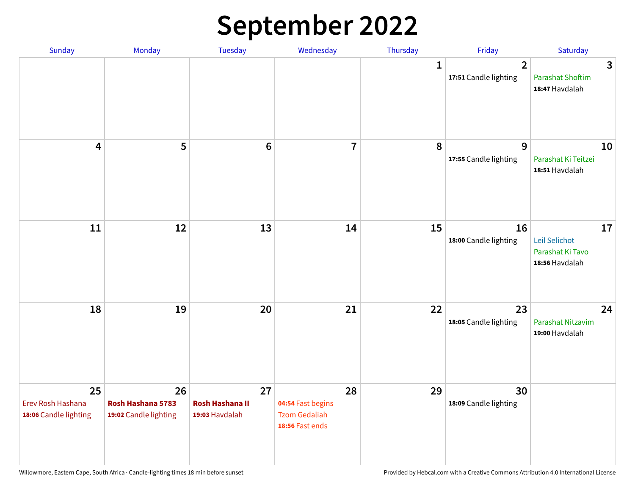## **September 2022**

| Sunday                                           | Monday                                           | Tuesday                                        | Wednesday                                                          | Thursday     | Friday                                  | Saturday                                                  |
|--------------------------------------------------|--------------------------------------------------|------------------------------------------------|--------------------------------------------------------------------|--------------|-----------------------------------------|-----------------------------------------------------------|
|                                                  |                                                  |                                                |                                                                    | $\mathbf{1}$ | $\overline{2}$<br>17:51 Candle lighting | 3<br><b>Parashat Shoftim</b><br>18:47 Havdalah            |
| $\overline{\mathbf{4}}$                          | 5                                                | $6\phantom{1}6$                                | $\overline{7}$                                                     | 8            | 9<br>17:55 Candle lighting              | 10<br>Parashat Ki Teitzei<br>18:51 Havdalah               |
| $11\,$                                           | 12                                               | 13                                             | 14                                                                 | 15           | 16<br>18:00 Candle lighting             | 17<br>Leil Selichot<br>Parashat Ki Tavo<br>18:56 Havdalah |
| 18                                               | 19                                               | 20                                             | 21                                                                 | 22           | 23<br>18:05 Candle lighting             | 24<br>Parashat Nitzavim<br>19:00 Havdalah                 |
| 25<br>Erev Rosh Hashana<br>18:06 Candle lighting | 26<br>Rosh Hashana 5783<br>19:02 Candle lighting | 27<br><b>Rosh Hashana II</b><br>19:03 Havdalah | 28<br>04:54 Fast begins<br><b>Tzom Gedaliah</b><br>18:56 Fast ends | 29           | 30<br>18:09 Candle lighting             |                                                           |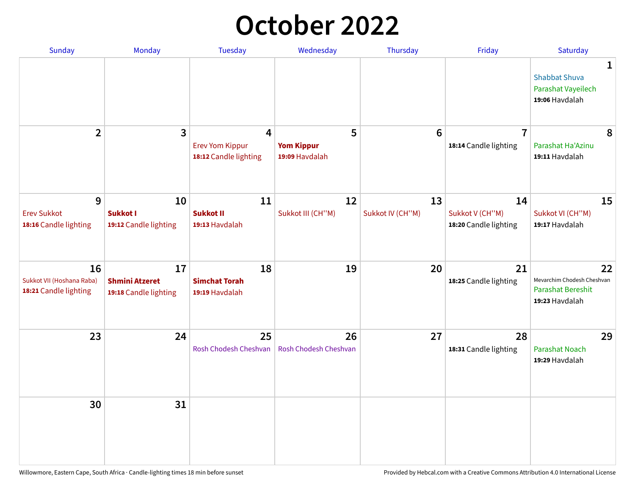## **October 2022**

| <b>Sunday</b>                                            | Monday                                               | <b>Tuesday</b>                                       | Wednesday                                | Thursday               | Friday                                         | Saturday                                                                |
|----------------------------------------------------------|------------------------------------------------------|------------------------------------------------------|------------------------------------------|------------------------|------------------------------------------------|-------------------------------------------------------------------------|
|                                                          |                                                      |                                                      |                                          |                        |                                                | 1<br><b>Shabbat Shuva</b><br>Parashat Vayeilech<br>19:06 Havdalah       |
| $\mathbf{2}$                                             | 3                                                    | 4<br><b>Erev Yom Kippur</b><br>18:12 Candle lighting | 5<br><b>Yom Kippur</b><br>19:09 Havdalah | $6\phantom{1}6$        | $\overline{7}$<br>18:14 Candle lighting        | 8<br>Parashat Ha'Azinu<br>19:11 Havdalah                                |
| 9<br><b>Erev Sukkot</b><br>18:16 Candle lighting         | 10<br>Sukkot I<br>19:12 Candle lighting              | 11<br><b>Sukkot II</b><br>19:13 Havdalah             | 12<br>Sukkot III (CH"M)                  | 13<br>Sukkot IV (CH"M) | 14<br>Sukkot V (CH"M)<br>18:20 Candle lighting | 15<br>Sukkot VI (CH"M)<br>19:17 Havdalah                                |
| 16<br>Sukkot VII (Hoshana Raba)<br>18:21 Candle lighting | 17<br><b>Shmini Atzeret</b><br>19:18 Candle lighting | 18<br><b>Simchat Torah</b><br>19:19 Havdalah         | 19                                       | 20                     | 21<br>18:25 Candle lighting                    | 22<br>Mevarchim Chodesh Cheshvan<br>Parashat Bereshit<br>19:23 Havdalah |
| 23                                                       | 24                                                   | 25<br>Rosh Chodesh Cheshvan                          | 26<br><b>Rosh Chodesh Cheshvan</b>       | 27                     | 28<br>18:31 Candle lighting                    | 29<br><b>Parashat Noach</b><br>19:29 Havdalah                           |
| 30                                                       | 31                                                   |                                                      |                                          |                        |                                                |                                                                         |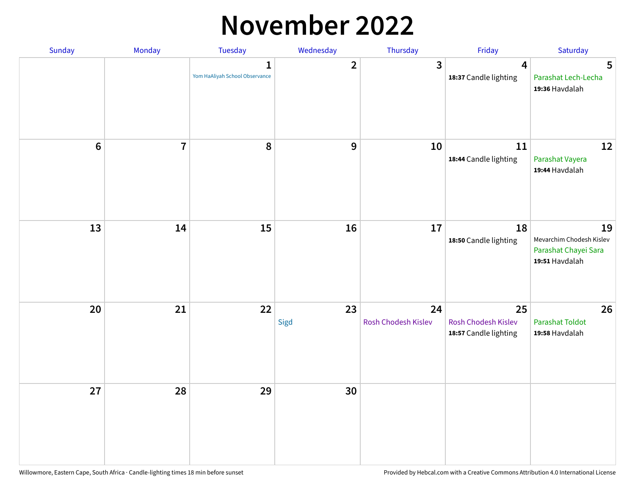### **November 2022**

| Sunday  | Monday                  | <b>Tuesday</b>                                 | Wednesday      | Thursday                  | Friday                                             | Saturday                                                                 |
|---------|-------------------------|------------------------------------------------|----------------|---------------------------|----------------------------------------------------|--------------------------------------------------------------------------|
|         |                         | $\mathbf{1}$<br>Yom HaAliyah School Observance | $\overline{2}$ | 3                         | $\overline{\mathbf{4}}$<br>18:37 Candle lighting   | 5<br>Parashat Lech-Lecha<br>19:36 Havdalah                               |
| $\bf 6$ | $\overline{\mathbf{7}}$ | 8                                              | 9              | 10                        | 11<br>18:44 Candle lighting                        | 12<br>Parashat Vayera<br>19:44 Havdalah                                  |
| 13      | 14                      | 15                                             | 16             | 17                        | 18<br>18:50 Candle lighting                        | 19<br>Mevarchim Chodesh Kislev<br>Parashat Chayei Sara<br>19:51 Havdalah |
| 20      | 21                      | 22                                             | 23<br>Sigd     | 24<br>Rosh Chodesh Kislev | 25<br>Rosh Chodesh Kislev<br>18:57 Candle lighting | 26<br><b>Parashat Toldot</b><br>19:58 Havdalah                           |
| 27      | 28                      | 29                                             | 30             |                           |                                                    |                                                                          |